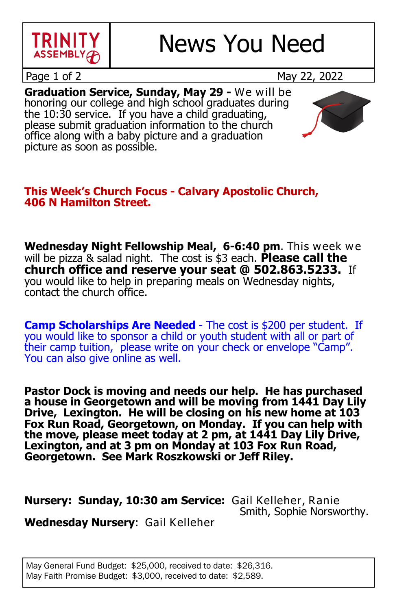

Page 1 of 2 May 22, 2022

**Graduation Service, Sunday, May 29 -** We will be honoring our college and high school graduates during the 10:30 service. If you have a child graduating, please submit graduation information to the church office along with a baby picture and a graduation picture as soon as possible.

### **This Week's Church Focus - Calvary Apostolic Church, 406 N Hamilton Street.**

**Wednesday Night Fellowship Meal, 6-6:40 pm**. This week we will be pizza & salad night. The cost is \$3 each. **Please call the church office and reserve your seat @ 502.863.5233.** If you would like to help in preparing meals on Wednesday nights, contact the church office.

**Camp Scholarships Are Needed** - The cost is \$200 per student. If you would like to sponsor a child or youth student with all or part of their camp tuition, please write on your check or envelope "Camp". You can also give online as well.

**Pastor Dock is moving and needs our help. He has purchased a house in Georgetown and will be moving from 1441 Day Lily Drive, Lexington. He will be closing on his new home at 103 Fox Run Road, Georgetown, on Monday. If you can help with the move, please meet today at 2 pm, at 1441 Day Lily Drive, Lexington, and at 3 pm on Monday at 103 Fox Run Road, Georgetown. See Mark Roszkowski or Jeff Riley.**

**Nursery: Sunday, 10:30 am Service:** Gail Kelleher, Ranie Smith, Sophie Norsworthy.

**Wednesday Nursery**: Gail Kelleher

May General Fund Budget: \$25,000, received to date: \$26,316. May Faith Promise Budget: \$3,000, received to date: \$2,589.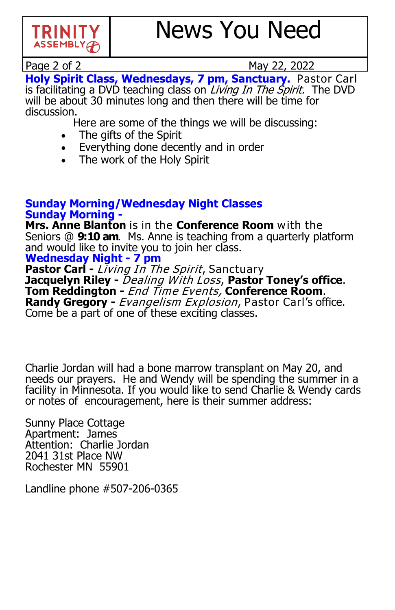

Page 2 of 2 May 22, 2022 Page 2 of 2 May 22, 2022

**Holy Spirit Class, Wednesdays, 7 pm, Sanctuary.** Pastor Carl is facilitating a DVD teaching class on *Living In The Spirit.* The DVD will be about 30 minutes long and then there will be time for discussion.

Here are some of the things we will be discussing:

- The gifts of the Spirit
- Everything done decently and in order
- The work of the Holy Spirit

#### **Sunday Morning/Wednesday Night Classes Sunday Morning -**

**Mrs. Anne Blanton** is in the **Conference Room** with the Seniors @ **9:10 am**. Ms. Anne is teaching from a quarterly platform and would like to invite you to join her class.

## **Wednesday Night - 7 pm**

**Pastor Carl -** Living In The Spirit, Sanctuary **Jacquelyn Riley** - Dealing With Loss, Pastor Toney's office. **Tom Reddington -** End Time Events, **Conference Room**. **Randy Gregory -** Evangelism Explosion, Pastor Carl's office. Come be a part of one of these exciting classes.

Charlie Jordan will had a bone marrow transplant on May 20, and needs our prayers. He and Wendy will be spending the summer in a facility in Minnesota. If you would like to send Charlie & Wendy cards or notes of encouragement, here is their summer address:

Sunny Place Cottage Apartment: James Attention: Charlie Jordan 2041 31st Place NW Rochester MN 55901

Landline phone #507-206-0365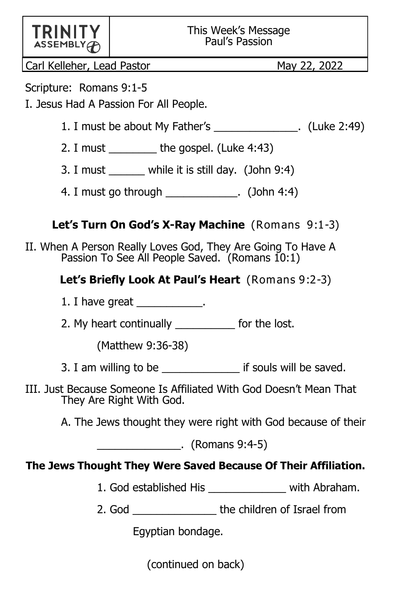| <b>TRINITY</b> |  |
|----------------|--|
| ASSEMENT       |  |

Carl Kelleher, Lead Pastor May 22, 2022

Scripture: Romans 9:1-5

I. Jesus Had A Passion For All People.

- 1. I must be about My Father's . (Luke 2:49)
- 2. I must  $\frac{1}{2}$  the gospel. (Luke 4:43)
- 3. I must \_\_\_\_\_\_ while it is still day. (John 9:4)
- 4. I must go through example 2. (John 4:4)

# **Let's Turn On God's X-Ray Machine** (Romans 9:1-3)

II. When A Person Really Loves God, They Are Going To Have A Passion To See All People Saved. (Romans 10:1)

## **Let's Briefly Look At Paul's Heart** (Romans 9:2-3)

- 1. I have great \_\_\_\_\_\_\_\_\_\_\_.
- 2. My heart continually \_\_\_\_\_\_\_\_\_\_ for the lost.

(Matthew 9:36-38)

- 3. I am willing to be \_\_\_\_\_\_\_\_\_\_\_\_\_ if souls will be saved.
- III. Just Because Someone Is Affiliated With God Doesn't Mean That They Are Right With God.
	- A. The Jews thought they were right with God because of their

 $\sim$  (Romans 9:4-5)

## **The Jews Thought They Were Saved Because Of Their Affiliation.**

- 1. God established His \_\_\_\_\_\_\_\_\_\_\_\_\_ with Abraham.
- 2. God **but the children of Israel from**

Egyptian bondage.

(continued on back)